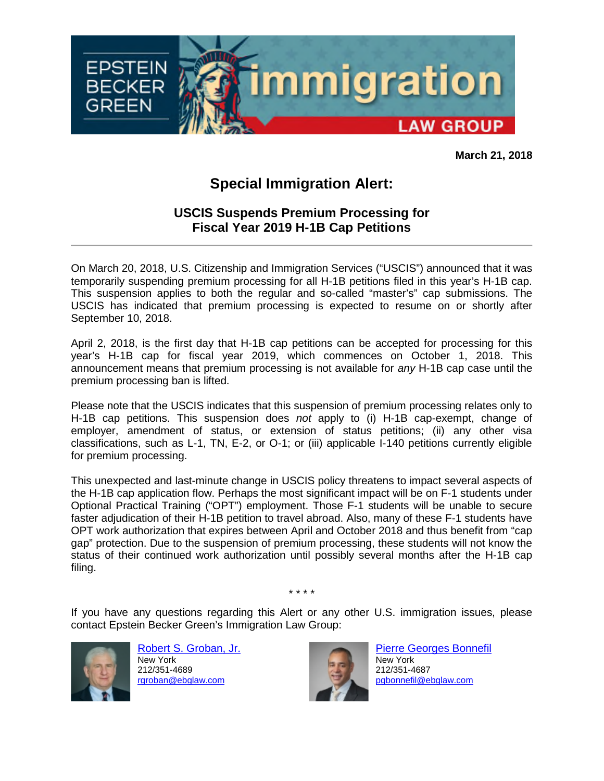

**March 21, 2018**

## **Special Immigration Alert:**

## **USCIS Suspends Premium Processing for Fiscal Year 2019 H-1B Cap Petitions**

On March 20, 2018, U.S. Citizenship and Immigration Services ("USCIS") announced that it was temporarily suspending premium processing for all H-1B petitions filed in this year's H-1B cap. This suspension applies to both the regular and so-called "master's" cap submissions. The USCIS has indicated that premium processing is expected to resume on or shortly after September 10, 2018.

April 2, 2018, is the first day that H-1B cap petitions can be accepted for processing for this year's H-1B cap for fiscal year 2019, which commences on October 1, 2018. This announcement means that premium processing is not available for *any* H-1B cap case until the premium processing ban is lifted.

Please note that the USCIS indicates that this suspension of premium processing relates only to H-1B cap petitions. This suspension does *not* apply to (i) H-1B cap-exempt, change of employer, amendment of status, or extension of status petitions; (ii) any other visa classifications, such as L-1, TN, E-2, or O-1; or (iii) applicable I-140 petitions currently eligible for premium processing.

This unexpected and last-minute change in USCIS policy threatens to impact several aspects of the H-1B cap application flow. Perhaps the most significant impact will be on F-1 students under Optional Practical Training ("OPT") employment. Those F-1 students will be unable to secure faster adjudication of their H-1B petition to travel abroad. Also, many of these F-1 students have OPT work authorization that expires between April and October 2018 and thus benefit from "cap gap" protection. Due to the suspension of premium processing, these students will not know the status of their continued work authorization until possibly several months after the H-1B cap filing.

If you have any questions regarding this Alert or any other U.S. immigration issues, please contact Epstein Becker Green's Immigration Law Group:

\* \* \* \*



Robert S. Groban, Jr. New York 212/351-4689 rgroban@ebglaw.com



Pierre Georges Bonnefil New York 212/351-4687 pgbonnefil@ebglaw.com